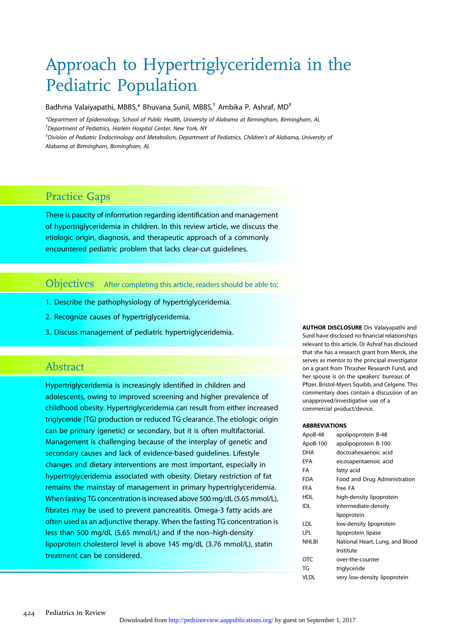# Approach to Hypertriglyceridemia in the Pediatric Population

Badhma Valaiyapathi, MBBS,\* Bhuvana Sunil, MBBS,<sup>†</sup> Ambika P. Ashraf, MD<sup>‡</sup>

\*Department of Epidemiology, School of Public Health, University of Alabama at Birmingham, Birmingham, AL † Department of Pediatrics, Harlem Hospital Center, New York, NY

‡ Division of Pediatric Endocrinology and Metabolism, Department of Pediatrics, Children's of Alabama, University of Alabama at Birmingham, Birmingham, AL

# Practice Gaps

There is paucity of information regarding identification and management of hypertriglyceridemia in children. In this review article, we discuss the etiologic origin, diagnosis, and therapeutic approach of a commonly encountered pediatric problem that lacks clear-cut guidelines.

Objectives After completing this article, readers should be able to:

- 1. Describe the pathophysiology of hypertriglyceridemia.
- 2. Recognize causes of hypertriglyceridemia.
- 3. Discuss management of pediatric hypertriglyceridemia.

### Abstract

Hypertriglyceridemia is increasingly identified in children and adolescents, owing to improved screening and higher prevalence of childhood obesity. Hypertriglyceridemia can result from either increased triglyceride (TG) production or reduced TG clearance. The etiologic origin can be primary (genetic) or secondary, but it is often multifactorial. Management is challenging because of the interplay of genetic and secondary causes and lack of evidence-based guidelines. Lifestyle changes and dietary interventions are most important, especially in hypertriglyceridemia associated with obesity. Dietary restriction of fat remains the mainstay of management in primary hypertriglyceridemia. When fasting TG concentration is increased above 500 mg/dL (5.65 mmol/L), fibrates may be used to prevent pancreatitis. Omega-3 fatty acids are often used as an adjunctive therapy. When the fasting TG concentration is less than 500 mg/dL (5.65 mmol/L) and if the non–high-density lipoprotein cholesterol level is above 145 mg/dL (3.76 mmol/L), statin treatment can be considered.

AUTHOR DISCLOSURE Drs Valaiyapathi and Sunil have disclosed no financial relationships relevant to this article. Dr Ashraf has disclosed that she has a research grant from Merck, she serves as mentor to the principal investigator on a grant from Thrasher Research Fund, and her spouse is on the speakers' bureaus of Pfizer, Bristol-Myers Squibb, and Celgene. This commentary does contain a discussion of an unapproved/investigative use of a commercial product/device.

#### ABBREVIATIONS

| ApoB-48      | apolipoprotein B-48             |
|--------------|---------------------------------|
| ApoB-100     | apolipoprotein B-100            |
| <b>DHA</b>   | docosahexaenoic acid            |
| EPA          | eicosapentaenoic acid           |
| FA           | fatty acid                      |
| <b>FDA</b>   | Food and Drug Administration    |
| <b>FFA</b>   | free FA                         |
| HDL          | high-density lipoprotein        |
| IDL          | intermediate-density            |
|              | lipoprotein                     |
| LDL          | low-density lipoprotein         |
| LPL          | lipoprotein lipase              |
| <b>NHLBI</b> | National Heart, Lung, and Blood |
|              | Institute                       |
| OTC          | over-the-counter                |
| TG           | triglyceride                    |
| VLDL         | very low-density lipoprotein    |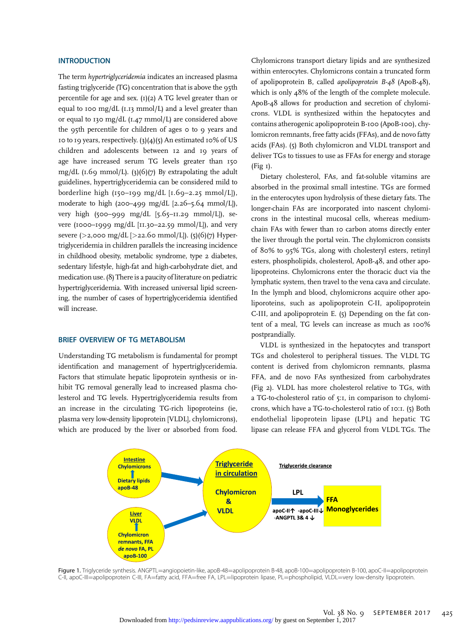#### **INTRODUCTION**

The term hypertriglyceridemia indicates an increased plasma fasting triglyceride (TG) concentration that is above the 95th percentile for age and sex.  $(I)(2)$  A TG level greater than or equal to 100 mg/dL (1.13 mmol/L) and a level greater than or equal to 130 mg/dL (1.47 mmol/L) are considered above the 95th percentile for children of ages 0 to 9 years and 10 to 19 years, respectively.  $(3)(4)(5)$  An estimated 10% of US children and adolescents between 12 and 19 years of age have increased serum TG levels greater than 150 mg/dL ( $I.69$  mmol/L). (3)( $6$ )( $7$ ) By extrapolating the adult guidelines, hypertriglyceridemia can be considered mild to borderline high  $(150-199 \text{ mg/dL} [1.69-2.25 \text{ mmol/L}])$ , moderate to high (200–499 mg/dL  $[2.26 - 5.64$  mmol/L]), very high (500–999 mg/dL [5.65–11.29 mmol/L]), severe (1000–1999 mg/dL [11.30–22.59 mmol/L]), and very severe (>2,000 mg/dL [>22.60 mmol/L]). (5)(6)(7) Hypertriglyceridemia in children parallels the increasing incidence in childhood obesity, metabolic syndrome, type 2 diabetes, sedentary lifestyle, high-fat and high-carbohydrate diet, and medication use. (8) There is a paucity of literature on pediatric hypertriglyceridemia. With increased universal lipid screening, the number of cases of hypertriglyceridemia identified will increase.

#### BRIEF OVERVIEW OF TG METABOLISM

Understanding TG metabolism is fundamental for prompt identification and management of hypertriglyceridemia. Factors that stimulate hepatic lipoprotein synthesis or inhibit TG removal generally lead to increased plasma cholesterol and TG levels. Hypertriglyceridemia results from an increase in the circulating TG-rich lipoproteins (ie, plasma very low-density lipoprotein [VLDL], chylomicrons), which are produced by the liver or absorbed from food.

Chylomicrons transport dietary lipids and are synthesized within enterocytes. Chylomicrons contain a truncated form of apolipoprotein B, called apolipoprotein B-48 (ApoB-48), which is only 48% of the length of the complete molecule. ApoB-48 allows for production and secretion of chylomicrons. VLDL is synthesized within the hepatocytes and contains atherogenic apolipoprotein B-100 (ApoB-100), chylomicron remnants, free fatty acids (FFAs), and de novo fatty acids (FAs). (5) Both chylomicron and VLDL transport and deliver TGs to tissues to use as FFAs for energy and storage (Fig 1).

Dietary cholesterol, FAs, and fat-soluble vitamins are absorbed in the proximal small intestine. TGs are formed in the enterocytes upon hydrolysis of these dietary fats. The longer-chain FAs are incorporated into nascent chylomicrons in the intestinal mucosal cells, whereas mediumchain FAs with fewer than 10 carbon atoms directly enter the liver through the portal vein. The chylomicron consists of 80% to 95% TGs, along with cholesteryl esters, retinyl esters, phospholipids, cholesterol, ApoB-48, and other apolipoproteins. Chylomicrons enter the thoracic duct via the lymphatic system, then travel to the vena cava and circulate. In the lymph and blood, chylomicrons acquire other apoliporoteins, such as apolipoprotein C-II, apolipoprotein C-III, and apolipoprotein E. (5) Depending on the fat content of a meal, TG levels can increase as much as 100% postprandially.

VLDL is synthesized in the hepatocytes and transport TGs and cholesterol to peripheral tissues. The VLDL TG content is derived from chylomicron remnants, plasma FFA, and de novo FAs synthesized from carbohydrates (Fig 2). VLDL has more cholesterol relative to TGs, with a TG-to-cholesterol ratio of 5:1, in comparison to chylomicrons, which have a TG-to-cholesterol ratio of 10:1. (5) Both endothelial lipoprotein lipase (LPL) and hepatic TG lipase can release FFA and glycerol from VLDL TGs. The



Figure 1. Triglyceride synthesis. ANGPTL=angiopoietin-like, apoB-48=apolipoprotein B-48, apoB-100=apolipoprotein B-100, apoC-II=apolipoprotein C-II, apoC-III=apolipoprotein C-III, FA=fatty acid, FFA=free FA, LPL=lipoprotein lipase, PL=phospholipid, VLDL=very low-density lipoprotein.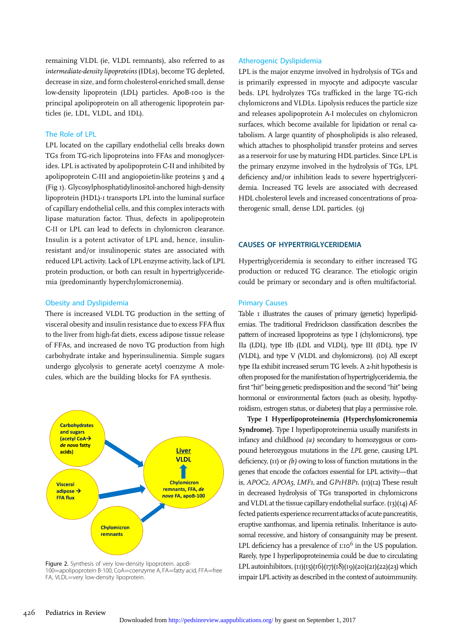remaining VLDL (ie, VLDL remnants), also referred to as intermediate-density lipoproteins (IDLs), become TG depleted, decrease in size, and form cholesterol-enriched small, dense low-density lipoprotein (LDL) particles. ApoB-100 is the principal apolipoprotein on all atherogenic lipoprotein particles (ie, LDL, VLDL, and IDL).

#### The Role of LPL

LPL located on the capillary endothelial cells breaks down TGs from TG-rich lipoproteins into FFAs and monoglycerides. LPL is activated by apolipoprotein C-II and inhibited by apolipoprotein C-III and angiopoietin-like proteins 3 and 4 (Fig 1). Glycosylphosphatidylinositol-anchored high-density lipoprotein (HDL)-1 transports LPL into the luminal surface of capillary endothelial cells, and this complex interacts with lipase maturation factor. Thus, defects in apolipoprotein C-II or LPL can lead to defects in chylomicron clearance. Insulin is a potent activator of LPL and, hence, insulinresistant and/or insulinopenic states are associated with reduced LPL activity. Lack of LPL enzyme activity, lack of LPL protein production, or both can result in hypertriglyceridemia (predominantly hyperchylomicronemia).

#### Obesity and Dyslipidemia

There is increased VLDL TG production in the setting of visceral obesity and insulin resistance due to excess FFA flux to the liver from high-fat diets, excess adipose tissue release of FFAs, and increased de novo TG production from high carbohydrate intake and hyperinsulinemia. Simple sugars undergo glycolysis to generate acetyl coenzyme A molecules, which are the building blocks for FA synthesis.



Figure 2. Synthesis of very low-density lipoprotein. apoB-100=apolipoprotein B-100, CoA=coenzyme A, FA=fatty acid, FFA=free FA, VLDL=very low-density lipoprotein.

#### Atherogenic Dyslipidemia

LPL is the major enzyme involved in hydrolysis of TGs and is primarily expressed in myocyte and adipocyte vascular beds. LPL hydrolyzes TGs trafficked in the large TG-rich chylomicrons and VLDLs. Lipolysis reduces the particle size and releases apolipoprotein A-I molecules on chylomicron surfaces, which become available for lipidation or renal catabolism. A large quantity of phospholipids is also released, which attaches to phospholipid transfer proteins and serves as a reservoir for use by maturing HDL particles. Since LPL is the primary enzyme involved in the hydrolysis of TGs, LPL deficiency and/or inhibition leads to severe hypertriglyceridemia. Increased TG levels are associated with decreased HDL cholesterol levels and increased concentrations of proatherogenic small, dense LDL particles. (9)

#### CAUSES OF HYPERTRIGLYCERIDEMIA

Hypertriglyceridemia is secondary to either increased TG production or reduced TG clearance. The etiologic origin could be primary or secondary and is often multifactorial.

#### Primary Causes

Table I illustrates the causes of primary (genetic) hyperlipidemias. The traditional Fredrickson classification describes the pattern of increased lipoproteins as type I (chylomicrons), type IIa (LDL), type IIb (LDL and VLDL), type III (IDL), type IV (VLDL), and type V (VLDL and chylomicrons). (10) All except type IIa exhibit increased serum TG levels. A 2-hit hypothesis is often proposed for the manifestation of hypertriglyceridemia, the first "hit" being genetic predisposition and the second "hit" being hormonal or environmental factors (such as obesity, hypothyroidism, estrogen status, or diabetes) that play a permissive role.

Type I Hyperlipoproteinemia (Hyperchylomicronemia Syndrome). Type I hyperlipoproteinemia usually manifests in infancy and childhood (a) secondary to homozygous or compound heterozygous mutations in the LPL gene, causing LPL deficiency, (11) or (b) owing to loss of function mutations in the genes that encode the cofactors essential for LPL activity—that is, APOC2, APOA5, LMF1, and GP1HBP1. (11)(12) These result in decreased hydrolysis of TGs transported in chylomicrons and VLDL at the tissue capillary endothelial surface. (13)(14) Affected patients experience recurrent attacks of acute pancreatitis, eruptive xanthomas, and lipemia retinalis. Inheritance is autosomal recessive, and history of consanguinity may be present. LPL deficiency has a prevalence of  $1:10<sup>6</sup>$  in the US population. Rarely, type I hyperlipoproteinemia could be due to circulating LPL autoinhibitors,  $(11)(15)(16)(17)(18)(19)(20)(21)(22)(23)$  which impair LPL activity as described in the context of autoimmunity.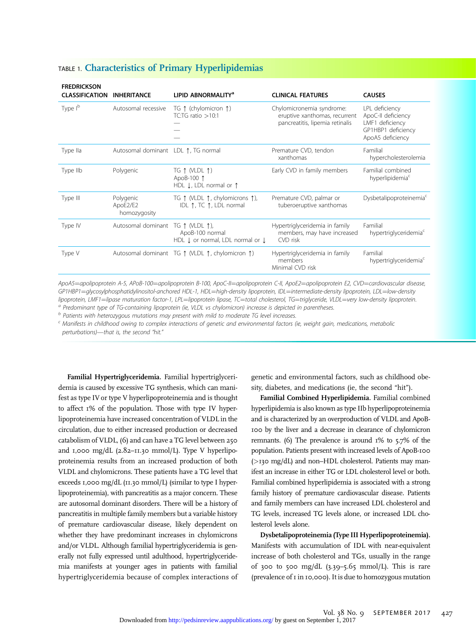| <b>FREDRICKSON</b><br><b>CLASSIFICATION</b> | <b>INHERITANCE</b>                    | LIPID ABNORMALITY <sup>a</sup>                                                                | <b>CLINICAL FEATURES</b>                                                                      | <b>CAUSES</b>                                                                                     |
|---------------------------------------------|---------------------------------------|-----------------------------------------------------------------------------------------------|-----------------------------------------------------------------------------------------------|---------------------------------------------------------------------------------------------------|
| Type I <sup>b</sup>                         | Autosomal recessive                   | TG $\uparrow$ (chylomicron $\uparrow$ )<br>TC:TG ratio $>10:1$                                | Chylomicronemia syndrome:<br>eruptive xanthomas, recurrent<br>pancreatitis, lipemia retinalis | LPL deficiency<br>ApoC-II deficiency<br>LMF1 deficiency<br>GP1HBP1 deficiency<br>ApoA5 deficiency |
| Type IIa                                    | Autosomal dominant LDL ↑, TG normal   |                                                                                               | Premature CVD, tendon<br>xanthomas                                                            | Familial<br>hypercholesterolemia                                                                  |
| Type IIb                                    | Polygenic                             | TG $\uparrow$ (VLDL $\uparrow$ )<br>ApoB-100 1<br>HDL $\downarrow$ , LDL normal or $\uparrow$ | Early CVD in family members                                                                   | Familial combined<br>hyperlipidemia <sup>c</sup>                                                  |
| Type III                                    | Polygenic<br>ApoE2/E2<br>homozygosity | TG 1 (VLDL 1, chylomicrons 1),<br>IDL 1, TC 1, LDL normal                                     | Premature CVD, palmar or<br>tuberoeruptive xanthomas                                          | Dysbetalipoproteinemia <sup>c</sup>                                                               |
| Type IV                                     | Autosomal dominant TG 1 (VLDL 1),     | ApoB-100 normal<br>HDL $\downarrow$ or normal, LDL normal or $\downarrow$                     | Hypertriglyceridemia in family<br>members, may have increased<br>CVD risk                     | Familial<br>hypertriglyceridemia <sup>c</sup>                                                     |
| Type V                                      |                                       | Autosomal dominant TG ↑ (VLDL ↑, chylomicron ↑)                                               | Hypertriglyceridemia in family<br>members<br>Minimal CVD risk                                 | Familial<br>hypertriglyceridemia <sup>c</sup>                                                     |

### TABLE 1. Characteristics of Primary Hyperlipidemias

ApoA5=apolipoprotein A-5, APoB-100=apolipoprotein B-100, ApoC-II=apolipoprotein C-II, ApoE2=apolipoprotein E2, CVD=cardiovascular disease, GP1HBP1=glycosylphosphatidylinositol-anchored HDL-1, HDL=high-density lipoprotein, IDL=intermediate-density lipoprotein, LDL=low-density<br>lipoprotein, LMF1=lipase maturation factor-1, LPL=lipoprotein lipase, TC=total choles

<sup>a</sup> Predominant type of TG-containing lipoprotein (ie, VLDL vs chylomicron) increase is depicted in parentheses.<br><sup>b</sup> Patients with heterozygous mutations may present with mild to moderate TG level increases.<br><sup>c</sup> Manifests perturbations)—that is, the second "hit."

Familial Hypertriglyceridemia. Familial hypertriglyceridemia is caused by excessive TG synthesis, which can manifest as type IV or type V hyperlipoproteinemia and is thought to affect 1% of the population. Those with type IV hyperlipoproteinemia have increased concentration of VLDL in the circulation, due to either increased production or decreased catabolism of VLDL, (6) and can have a TG level between 250 and 1,000 mg/dL (2.82-11.30 mmol/L). Type V hyperlipoproteinemia results from an increased production of both VLDL and chylomicrons. These patients have a TG level that exceeds 1,000 mg/dL (11.30 mmol/L) (similar to type I hyperlipoproteinemia), with pancreatitis as a major concern. These are autosomal dominant disorders. There will be a history of pancreatitis in multiple family members but a variable history of premature cardiovascular disease, likely dependent on whether they have predominant increases in chylomicrons and/or VLDL. Although familial hypertriglyceridemia is generally not fully expressed until adulthood, hypertriglyceridemia manifests at younger ages in patients with familial hypertriglyceridemia because of complex interactions of

genetic and environmental factors, such as childhood obesity, diabetes, and medications (ie, the second "hit").

Familial Combined Hyperlipidemia. Familial combined hyperlipidemia is also known as type IIb hyperlipoproteinemia and is characterized by an overproduction of VLDL and ApoB-100 by the liver and a decrease in clearance of chylomicron remnants. (6) The prevalence is around 1% to 5.7% of the population. Patients present with increased levels of ApoB-100 (>130 mg/dL) and non–HDL cholesterol. Patients may manifest an increase in either TG or LDL cholesterol level or both. Familial combined hyperlipidemia is associated with a strong family history of premature cardiovascular disease. Patients and family members can have increased LDL cholesterol and TG levels, increased TG levels alone, or increased LDL cholesterol levels alone.

Dysbetalipoproteinemia (Type III Hyperlipoproteinemia). Manifests with accumulation of IDL with near-equivalent increase of both cholesterol and TGs, usually in the range of 300 to 500 mg/dL  $(3.39 - 5.65 \text{ mmol/L})$ . This is rare (prevalence of 1 in 10,000). It is due to homozygous mutation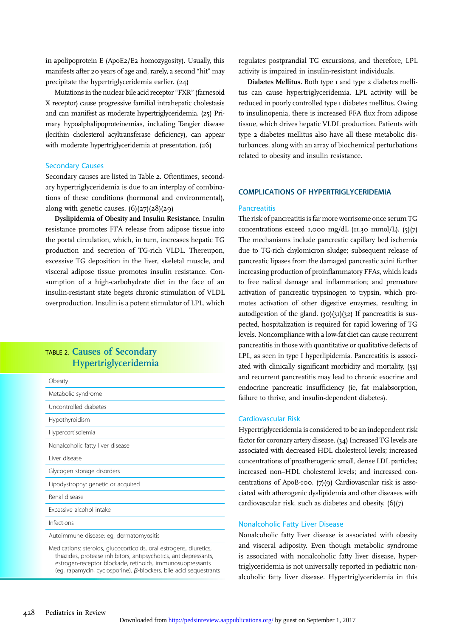in apolipoprotein E (ApoE2/E2 homozygosity). Usually, this manifests after 20 years of age and, rarely, a second "hit" may precipitate the hypertriglyceridemia earlier. (24)

Mutations in the nuclear bile acid receptor "FXR" (farnesoid X receptor) cause progressive familial intrahepatic cholestasis and can manifest as moderate hypertriglyceridemia. (25) Primary hypoalphalipoproteinemias, including Tangier disease (lecithin cholesterol acyltransferase deficiency), can appear with moderate hypertriglyceridemia at presentation. (26)

#### Secondary Causes

Secondary causes are listed in Table 2. Oftentimes, secondary hypertriglyceridemia is due to an interplay of combinations of these conditions (hormonal and environmental), along with genetic causes.  $(6)(27)(28)(29)$ 

Dyslipidemia of Obesity and Insulin Resistance. Insulin resistance promotes FFA release from adipose tissue into the portal circulation, which, in turn, increases hepatic TG production and secretion of TG-rich VLDL. Thereupon, excessive TG deposition in the liver, skeletal muscle, and visceral adipose tissue promotes insulin resistance. Consumption of a high-carbohydrate diet in the face of an insulin-resistant state begets chronic stimulation of VLDL overproduction. Insulin is a potent stimulator of LPL, which

### TABLE 2. Causes of Secondary Hypertriglyceridemia

| Obesity                                 |
|-----------------------------------------|
| Metabolic syndrome                      |
| Uncontrolled diabetes                   |
| Hypothyroidism                          |
| Hypercortisolemia                       |
| Nonalcoholic fatty liver disease        |
| I iver disease                          |
| Glycogen storage disorders              |
| Lipodystrophy: genetic or acquired      |
| Renal disease                           |
| Excessive alcohol intake                |
| Infections                              |
| Autoimmune disease: eq, dermatomyositis |
|                                         |

Medications: steroids, glucocorticoids, oral estrogens, diuretics, thiazides, protease inhibitors, antipsychotics, antidepressants, estrogen-receptor blockade, retinoids, immunosuppressants (eg, rapamycin, cyclosporine),  $\beta$ -blockers, bile acid sequestrants

regulates postprandial TG excursions, and therefore, LPL activity is impaired in insulin-resistant individuals.

Diabetes Mellitus. Both type 1 and type 2 diabetes mellitus can cause hypertriglyceridemia. LPL activity will be reduced in poorly controlled type 1 diabetes mellitus. Owing to insulinopenia, there is increased FFA flux from adipose tissue, which drives hepatic VLDL production. Patients with type 2 diabetes mellitus also have all these metabolic disturbances, along with an array of biochemical perturbations related to obesity and insulin resistance.

#### COMPLICATIONS OF HYPERTRIGLYCERIDEMIA

#### **Pancreatitis**

The risk of pancreatitis is far more worrisome once serum TG concentrations exceed 1,000 mg/dL ( $\text{II}.30 \text{ mmol/L}$ ). (5)(7) The mechanisms include pancreatic capillary bed ischemia due to TG-rich chylomicron sludge; subsequent release of pancreatic lipases from the damaged pancreatic acini further increasing production of proinflammatory FFAs, which leads to free radical damage and inflammation; and premature activation of pancreatic trypsinogen to trypsin, which promotes activation of other digestive enzymes, resulting in autodigestion of the gland. (30)(31)(32) If pancreatitis is suspected, hospitalization is required for rapid lowering of TG levels. Noncompliance with a low-fat diet can cause recurrent pancreatitis in those with quantitative or qualitative defects of LPL, as seen in type I hyperlipidemia. Pancreatitis is associated with clinically significant morbidity and mortality, (33) and recurrent pancreatitis may lead to chronic exocrine and endocrine pancreatic insufficiency (ie, fat malabsorption, failure to thrive, and insulin-dependent diabetes).

#### Cardiovascular Risk

Hypertriglyceridemia is considered to be an independent risk factor for coronary artery disease. (34) Increased TG levels are associated with decreased HDL cholesterol levels; increased concentrations of proatherogenic small, dense LDL particles; increased non–HDL cholesterol levels; and increased concentrations of ApoB-100. (7)(9) Cardiovascular risk is associated with atherogenic dyslipidemia and other diseases with cardiovascular risk, such as diabetes and obesity. (6)(7)

#### Nonalcoholic Fatty Liver Disease

Nonalcoholic fatty liver disease is associated with obesity and visceral adiposity. Even though metabolic syndrome is associated with nonalcoholic fatty liver disease, hypertriglyceridemia is not universally reported in pediatric nonalcoholic fatty liver disease. Hypertriglyceridemia in this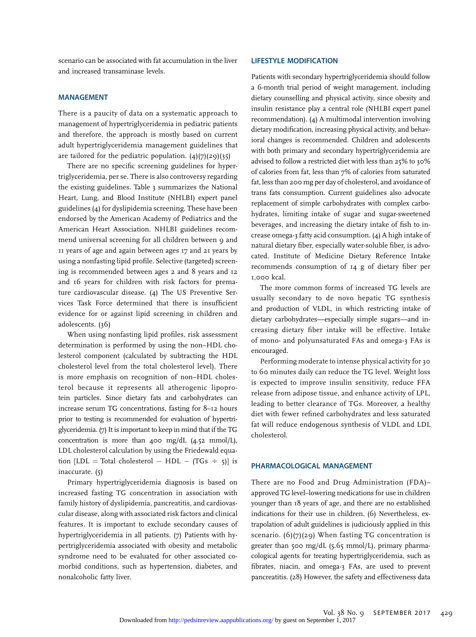scenario can be associated with fat accumulation in the liver and increased transaminase levels.

#### MANAGEMENT

There is a paucity of data on a systematic approach to management of hypertriglyceridemia in pediatric patients and therefore, the approach is mostly based on current adult hypertriglyceridemia management guidelines that are tailored for the pediatric population.  $(4)(7)(29)(35)$ 

There are no specific screening guidelines for hypertriglyceridemia, per se. There is also controversy regarding the existing guidelines. Table 3 summarizes the National Heart, Lung, and Blood Institute (NHLBI) expert panel guidelines (4) for dyslipidemia screening. These have been endorsed by the American Academy of Pediatrics and the American Heart Association. NHLBI guidelines recommend universal screening for all children between 9 and 11 years of age and again between ages 17 and 21 years by using a nonfasting lipid profile. Selective (targeted) screening is recommended between ages 2 and 8 years and 12 and 16 years for children with risk factors for premature cardiovascular disease. (4) The US Preventive Services Task Force determined that there is insufficient evidence for or against lipid screening in children and adolescents. (36)

When using nonfasting lipid profiles, risk assessment determination is performed by using the non–HDL cholesterol component (calculated by subtracting the HDL cholesterol level from the total cholesterol level). There is more emphasis on recognition of non–HDL cholesterol because it represents all atherogenic lipoprotein particles. Since dietary fats and carbohydrates can increase serum TG concentrations, fasting for 8–12 hours prior to testing is recommended for evaluation of hypertriglyceridemia. (7) It is important to keep in mind that if the TG concentration is more than 400 mg/dL (4.52 mmol/L), LDL cholesterol calculation by using the Friedewald equation  $[LDL = Total cholesterol - HDL - (TGs \div 5)]$  is inaccurate. (5)

Primary hypertriglyceridemia diagnosis is based on increased fasting TG concentration in association with family history of dyslipidemia, pancreatitis, and cardiovascular disease, along with associated risk factors and clinical features. It is important to exclude secondary causes of hypertriglyceridemia in all patients. (7) Patients with hypertriglyceridemia associated with obesity and metabolic syndrome need to be evaluated for other associated comorbid conditions, such as hypertension, diabetes, and nonalcoholic fatty liver.

#### LIFESTYLE MODIFICATION

Patients with secondary hypertriglyceridemia should follow a 6-month trial period of weight management, including dietary counselling and physical activity, since obesity and insulin resistance play a central role (NHLBI expert panel recommendation). (4) A multimodal intervention involving dietary modification, increasing physical activity, and behavioral changes is recommended. Children and adolescents with both primary and secondary hypertriglyceridemia are advised to follow a restricted diet with less than 25% to 30% of calories from fat, less than 7% of calories from saturated fat, less than 200 mg per day of cholesterol, and avoidance of trans fats consumption. Current guidelines also advocate replacement of simple carbohydrates with complex carbohydrates, limiting intake of sugar and sugar-sweetened beverages, and increasing the dietary intake of fish to increase omega-3 fatty acid consumption. (4) A high intake of natural dietary fiber, especially water-soluble fiber, is advocated. Institute of Medicine Dietary Reference Intake recommends consumption of 14 g of dietary fiber per 1,000 kcal.

The more common forms of increased TG levels are usually secondary to de novo hepatic TG synthesis and production of VLDL, in which restricting intake of dietary carbohydrates—especially simple sugars—and increasing dietary fiber intake will be effective. Intake of mono- and polyunsaturated FAs and omega-3 FAs is encouraged.

Performing moderate to intense physical activity for 30 to 60 minutes daily can reduce the TG level. Weight loss is expected to improve insulin sensitivity, reduce FFA release from adipose tissue, and enhance activity of LPL, leading to better clearance of TGs. Moreover, a healthy diet with fewer refined carbohydrates and less saturated fat will reduce endogenous synthesis of VLDL and LDL cholesterol.

#### PHARMACOLOGICAL MANAGEMENT

There are no Food and Drug Administration (FDA)– approved TG level–lowering medications for use in children younger than 18 years of age, and there are no established indications for their use in children. (6) Nevertheless, extrapolation of adult guidelines is judiciously applied in this scenario.  $(6)(7)(29)$  When fasting TG concentration is greater than 500 mg/dL  $(5.65 \text{ mmol/L})$ , primary pharmacological agents for treating hypertriglyceridemia, such as fibrates, niacin, and omega-3 FAs, are used to prevent pancreatitis. (28) However, the safety and effectiveness data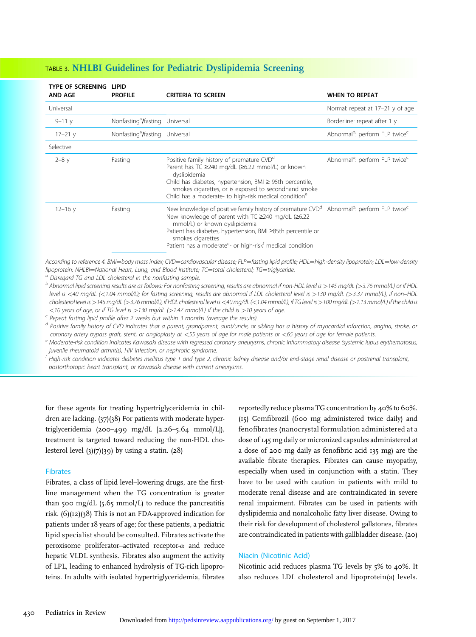| TYPE OF SCREENING<br><b>AND AGE</b> | LIPID<br><b>PROFILE</b>                    | <b>CRITERIA TO SCREEN</b>                                                                                                                                                                                                                                                                                                             | <b>WHEN TO REPEAT</b>                                  |
|-------------------------------------|--------------------------------------------|---------------------------------------------------------------------------------------------------------------------------------------------------------------------------------------------------------------------------------------------------------------------------------------------------------------------------------------|--------------------------------------------------------|
| Universal                           |                                            |                                                                                                                                                                                                                                                                                                                                       | Normal: repeat at 17-21 y of age                       |
| $9 - 11y$                           | Nonfasting <sup>a</sup> /fasting Universal |                                                                                                                                                                                                                                                                                                                                       | Borderline: repeat after 1 y                           |
| $17 - 21y$                          | Nonfasting <sup>a</sup> /fasting Universal |                                                                                                                                                                                                                                                                                                                                       | Abnormal <sup>b</sup> : perform FLP twice <sup>c</sup> |
| Selective                           |                                            |                                                                                                                                                                                                                                                                                                                                       |                                                        |
| $2 - 8y$                            | Fasting                                    | Positive family history of premature CVD <sup>d</sup><br>Parent has TC ≥240 mg/dL (≥6.22 mmol/L) or known<br>dyslipidemia<br>Child has diabetes, hypertension, BMI $\geq$ 95th percentile,<br>smokes cigarettes, or is exposed to secondhand smoke<br>Child has a moderate- to high-risk medical condition <sup>e</sup>               | Abnormal <sup>b</sup> : perform FLP twice <sup>c</sup> |
| $12 - 16y$                          | Fasting                                    | New knowledge of positive family history of premature CVD <sup>a</sup><br>New knowledge of parent with TC ≥240 mg/dL (≥6.22<br>mmol/L) or known dyslipidemia<br>Patient has diabetes, hypertension, BMI ≥85th percentile or<br>smokes cigarettes<br>Patient has a moderate <sup>e</sup> - or high-risk <sup>†</sup> medical condition | Abnormal <sup>b</sup> : perform FLP twice <sup>c</sup> |

### TABLE 3. NHLBI Guidelines for Pediatric Dyslipidemia Screening

According to reference 4. BMI=body mass index; CVD=cardiovascular disease; FLP=fasting lipid profile; HDL=high-density lipoprotein; LDL=low-density<br>lipoprotein; NHLBI=National Heart, Lunq, and Blood Institute; TC=total cho

<sup>a</sup> Disregard TG and LDL cholesterol in the nonfasting sample.<br><sup>b</sup> Abnormal lipid screening results are as follows: For nonfasting screening, results are abnormal if non-HDL level is >145 mg/dL (>3.76 mmol/L) or if HDL level is <40 mg/dL (<1.04 mmol/L); for fasting screening, results are abnormal if LDL cholesterol level is >130 mg/dL (>3.37 mmol/L), if non–HDL cholesterol level is >145 mg/dL (>3.76 mmol/L), if HDL cholesterol level is <40 mg/dL (<1.04 mmol/L), if TG level is >100 mg/dL (>1.13 mmol/L) if the child is <10 years of age, or if TG level is >130 mg/dL (>1.47 mmol/L) if the child is >10 years of age.  $\epsilon$  Repeat fasting lipid profile after 2 weeks but within 3 months (average the results).

<sup>d</sup> Positive family history of CVD indicates that a parent, grandparent, aunt/uncle, or sibling has a history of myocardial infarction, angina, stroke, or coronary artery bypass graft, stent, or angioplasty at <55 years of age for male patients or <65 years of age for female patients.<br><sup>e</sup> Moderate-risk condition indicates Kawasaki disease with regressed coronary aneurysms, c

juvenile rheumatoid arthritis), HIV infection, or nephrotic syndrome.<br><sup>f</sup> High-risk condition indicates diabetes mellitus type 1 and type 2, chronic kidney disease and/or end-stage renal disease or postrenal transplant,

postorthotopic heart transplant, or Kawasaki disease with current aneurysms.

for these agents for treating hypertriglyceridemia in children are lacking. (37)(38) For patients with moderate hypertriglyceridemia (200–499 mg/dL [2.26–5.64 mmol/L]), treatment is targeted toward reducing the non-HDL cholesterol level  $(3)(7)(39)$  by using a statin.  $(28)$ 

#### Fibrates

Fibrates, a class of lipid level–lowering drugs, are the firstline management when the TG concentration is greater than 500 mg/dL  $(5.65 \text{ mmol/L})$  to reduce the pancreatitis risk. (6)(12)(38) This is not an FDA-approved indication for patients under 18 years of age; for these patients, a pediatric lipid specialist should be consulted. Fibrates activate the peroxisome proliferator-activated receptor- $\alpha$  and reduce hepatic VLDL synthesis. Fibrates also augment the activity of LPL, leading to enhanced hydrolysis of TG-rich lipoproteins. In adults with isolated hypertriglyceridemia, fibrates

reportedly reduce plasma TG concentration by 40% to 60%. (15) Gemfibrozil (600 mg administered twice daily) and fenofibrates (nanocrystal formulation administered at a dose of 145 mg daily or micronized capsules administered at a dose of 200 mg daily as fenofibric acid 135 mg) are the available fibrate therapies. Fibrates can cause myopathy, especially when used in conjunction with a statin. They have to be used with caution in patients with mild to moderate renal disease and are contraindicated in severe renal impairment. Fibrates can be used in patients with dyslipidemia and nonalcoholic fatty liver disease. Owing to their risk for development of cholesterol gallstones, fibrates are contraindicated in patients with gallbladder disease. (20)

#### Niacin (Nicotinic Acid)

Nicotinic acid reduces plasma TG levels by 5% to 40%. It also reduces LDL cholesterol and lipoprotein(a) levels.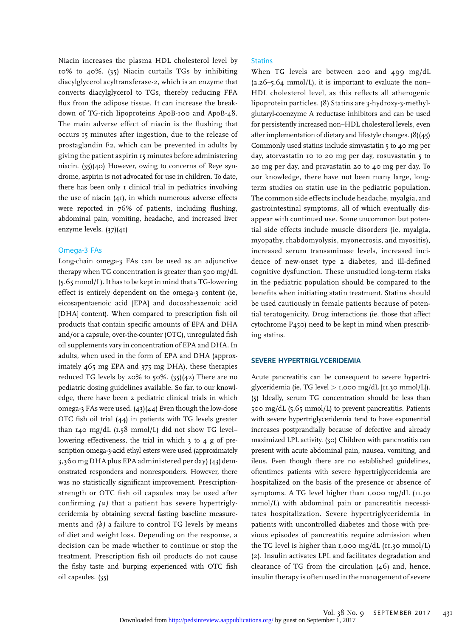Niacin increases the plasma HDL cholesterol level by 10% to 40%. (35) Niacin curtails TGs by inhibiting diacylglycerol acyltransferase-2, which is an enzyme that converts diacylglycerol to TGs, thereby reducing FFA flux from the adipose tissue. It can increase the breakdown of TG-rich lipoproteins ApoB-100 and ApoB-48. The main adverse effect of niacin is the flushing that occurs 15 minutes after ingestion, due to the release of prostaglandin F2, which can be prevented in adults by giving the patient aspirin 15 minutes before administering niacin. (35)(40) However, owing to concerns of Reye syndrome, aspirin is not advocated for use in children. To date, there has been only 1 clinical trial in pediatrics involving the use of niacin (41), in which numerous adverse effects were reported in 76% of patients, including flushing, abdominal pain, vomiting, headache, and increased liver enzyme levels. (37)(41)

#### Omega-3 FAs

Long-chain omega-3 FAs can be used as an adjunctive therapy when TG concentration is greater than 500 mg/dL (5.65 mmol/L). It has to be kept in mind that a TG-lowering effect is entirely dependent on the omega-3 content (ie, eicosapentaenoic acid [EPA] and docosahexaenoic acid [DHA] content). When compared to prescription fish oil products that contain specific amounts of EPA and DHA and/or a capsule, over-the-counter (OTC), unregulated fish oil supplements vary in concentration of EPA and DHA. In adults, when used in the form of EPA and DHA (approximately 465 mg EPA and 375 mg DHA), these therapies reduced TG levels by 20% to 50%. (35)(42) There are no pediatric dosing guidelines available. So far, to our knowledge, there have been 2 pediatric clinical trials in which omega-3 FAs were used. (43)(44) Even though the low-dose OTC fish oil trial (44) in patients with TG levels greater than 140 mg/dL (1.58 mmol/L) did not show TG level– lowering effectiveness, the trial in which 3 to 4 g of prescription omega-3-acid ethyl esters were used (approximately 3,360 mg DHA plus EPA administered per day) (43) demonstrated responders and nonresponders. However, there was no statistically significant improvement. Prescriptionstrength or OTC fish oil capsules may be used after confirming (a) that a patient has severe hypertriglyceridemia by obtaining several fasting baseline measurements and (b) a failure to control TG levels by means of diet and weight loss. Depending on the response, a decision can be made whether to continue or stop the treatment. Prescription fish oil products do not cause the fishy taste and burping experienced with OTC fish oil capsules. (35)

#### **Statins**

When TG levels are between 200 and 499 mg/dL  $(2.26 - 5.64 \text{ mmol/L})$ , it is important to evaluate the non-HDL cholesterol level, as this reflects all atherogenic lipoprotein particles. (8) Statins are 3-hydroxy-3-methylglutaryl-coenzyme A reductase inhibitors and can be used for persistently increased non–HDL cholesterol levels, even after implementation of dietary and lifestyle changes. (8)(45) Commonly used statins include simvastatin 5 to 40 mg per day, atorvastatin 10 to 20 mg per day, rosuvastatin 5 to 20 mg per day, and pravastatin 20 to 40 mg per day. To our knowledge, there have not been many large, longterm studies on statin use in the pediatric population. The common side effects include headache, myalgia, and gastrointestinal symptoms, all of which eventually disappear with continued use. Some uncommon but potential side effects include muscle disorders (ie, myalgia, myopathy, rhabdomyolysis, myonecrosis, and myositis), increased serum transaminase levels, increased incidence of new-onset type 2 diabetes, and ill-defined cognitive dysfunction. These unstudied long-term risks in the pediatric population should be compared to the benefits when initiating statin treatment. Statins should be used cautiously in female patients because of potential teratogenicity. Drug interactions (ie, those that affect cytochrome P450) need to be kept in mind when prescribing statins.

#### SEVERE HYPERTRIGLYCERIDEMIA

Acute pancreatitis can be consequent to severe hypertriglyceridemia (ie, TG level  $>$  1,000 mg/dL [11.30 mmol/L]). (5) Ideally, serum TG concentration should be less than 500 mg/dL (5.65 mmol/L) to prevent pancreatitis. Patients with severe hypertriglyceridemia tend to have exponential increases postprandially because of defective and already maximized LPL activity. (30) Children with pancreatitis can present with acute abdominal pain, nausea, vomiting, and ileus. Even though there are no established guidelines, oftentimes patients with severe hypertriglyceridemia are hospitalized on the basis of the presence or absence of symptoms. A TG level higher than 1,000 mg/dL (11.30 mmol/L) with abdominal pain or pancreatitis necessitates hospitalization. Severe hypertriglyceridemia in patients with uncontrolled diabetes and those with previous episodes of pancreatitis require admission when the TG level is higher than 1,000 mg/dL  $(11.30 \text{ mmol/L})$ (2). Insulin activates LPL and facilitates degradation and clearance of TG from the circulation (46) and, hence, insulin therapy is often used in the management of severe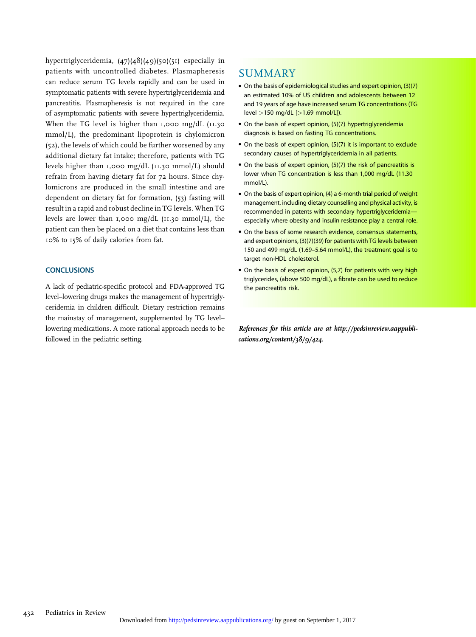hypertriglyceridemia, (47)(48)(49)(50)(51) especially in patients with uncontrolled diabetes. Plasmapheresis can reduce serum TG levels rapidly and can be used in symptomatic patients with severe hypertriglyceridemia and pancreatitis. Plasmapheresis is not required in the care of asymptomatic patients with severe hypertriglyceridemia. When the TG level is higher than 1,000 mg/dL (11.30 mmol/L), the predominant lipoprotein is chylomicron (52), the levels of which could be further worsened by any additional dietary fat intake; therefore, patients with TG levels higher than 1,000 mg/dL (11.30 mmol/L) should refrain from having dietary fat for 72 hours. Since chylomicrons are produced in the small intestine and are dependent on dietary fat for formation, (53) fasting will result in a rapid and robust decline in TG levels. When TG levels are lower than 1,000 mg/dL (11.30 mmol/L), the patient can then be placed on a diet that contains less than 10% to 15% of daily calories from fat.

#### **CONCLUSIONS**

A lack of pediatric-specific protocol and FDA-approved TG level–lowering drugs makes the management of hypertriglyceridemia in children difficult. Dietary restriction remains the mainstay of management, supplemented by TG level– lowering medications. A more rational approach needs to be followed in the pediatric setting.

## SUMMARY

- On the basis of epidemiological studies and expert opinion, (3)(7) an estimated 10% of US children and adolescents between 12 and 19 years of age have increased serum TG concentrations (TG level >150 mg/dL [>1.69 mmol/L]).
- On the basis of expert opinion, (5)(7) hypertriglyceridemia diagnosis is based on fasting TG concentrations.
- On the basis of expert opinion, (5)(7) it is important to exclude secondary causes of hypertriglyceridemia in all patients.
- On the basis of expert opinion, (5)(7) the risk of pancreatitis is lower when TG concentration is less than 1,000 mg/dL (11.30 mmol/L).
- On the basis of expert opinion, (4) a 6-month trial period of weight management, including dietary counselling and physical activity, is recommended in patents with secondary hypertriglyceridemiaespecially where obesity and insulin resistance play a central role.
- On the basis of some research evidence, consensus statements, and expert opinions, (3)(7)(39) for patients with TG levels between 150 and 499 mg/dL (1.69–5.64 mmol/L), the treatment goal is to target non-HDL cholesterol.
- On the basis of expert opinion, (5,7) for patients with very high triglycerides, (above 500 mg/dL), a fibrate can be used to reduce the pancreatitis risk.

References for this article are at [http://pedsinreview.aappubli](http://pedsinreview.aappublications.org/content/38/9/424)[cations.org/content/38/9/424](http://pedsinreview.aappublications.org/content/38/9/424).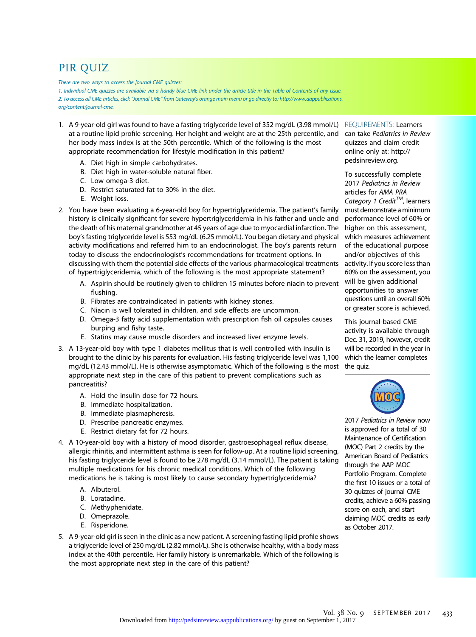# PIR QUIZ

There are two ways to access the journal CME quizzes:

1. Individual CME quizzes are available via a handy blue CME link under the article title in the Table of Contents of any issue. 2. To access all CME articles, click "Journal CME" from Gateway's orange main menu or go directly to: [http://www.aappublications.](http://www.aappublications.org/content/journal-cme) [org/content/journal-cme.](http://www.aappublications.org/content/journal-cme)

- 1. A 9-year-old girl was found to have a fasting triglyceride level of 352 mg/dL (3.98 mmol/L) at a routine lipid profile screening. Her height and weight are at the 25th percentile, and her body mass index is at the 50th percentile. Which of the following is the most appropriate recommendation for lifestyle modification in this patient?
	- A. Diet high in simple carbohydrates.
	- B. Diet high in water-soluble natural fiber.
	- C. Low omega-3 diet.
	- D. Restrict saturated fat to 30% in the diet.
	- E. Weight loss.
- 2. You have been evaluating a 6-year-old boy for hypertriglyceridemia. The patient's family history is clinically significant for severe hypertriglyceridemia in his father and uncle and the death of his maternal grandmother at 45 years of age due to myocardial infarction. The boy's fasting triglyceride level is 553 mg/dL (6.25 mmol/L). You began dietary and physical activity modifications and referred him to an endocrinologist. The boy's parents return today to discuss the endocrinologist's recommendations for treatment options. In discussing with them the potential side effects of the various pharmacological treatments of hypertriglyceridemia, which of the following is the most appropriate statement?
	- A. Aspirin should be routinely given to children 15 minutes before niacin to prevent flushing.
	- B. Fibrates are contraindicated in patients with kidney stones.
	- C. Niacin is well tolerated in children, and side effects are uncommon.
	- D. Omega-3 fatty acid supplementation with prescription fish oil capsules causes burping and fishy taste.
	- E. Statins may cause muscle disorders and increased liver enzyme levels.
- 3. A 13-year-old boy with type 1 diabetes mellitus that is well controlled with insulin is brought to the clinic by his parents for evaluation. His fasting triglyceride level was 1,100 mg/dL (12.43 mmol/L). He is otherwise asymptomatic. Which of the following is the most appropriate next step in the care of this patient to prevent complications such as pancreatitis?
	- A. Hold the insulin dose for 72 hours.
	- B. Immediate hospitalization.
	- B. Immediate plasmapheresis.
	- D. Prescribe pancreatic enzymes.
	- E. Restrict dietary fat for 72 hours.
- 4. A 10-year-old boy with a history of mood disorder, gastroesophageal reflux disease, allergic rhinitis, and intermittent asthma is seen for follow-up. At a routine lipid screening, his fasting triglyceride level is found to be 278 mg/dL (3.14 mmol/L). The patient is taking multiple medications for his chronic medical conditions. Which of the following medications he is taking is most likely to cause secondary hypertriglyceridemia?
	- A. Albuterol.
	- B. Loratadine.
	- C. Methyphenidate.
	- D. Omeprazole.
	- E. Risperidone.
- 5. A 9-year-old girl is seen in the clinic as a new patient. A screening fasting lipid profile shows a triglyceride level of 250 mg/dL (2.82 mmol/L). She is otherwise healthy, with a body mass index at the 40th percentile. Her family history is unremarkable. Which of the following is the most appropriate next step in the care of this patient?

REQUIREMENTS: Learners can take Pediatrics in Review quizzes and claim credit online only at: [http://](http://pedsinreview.org) [pedsinreview.org](http://pedsinreview.org).

To successfully complete 2017 Pediatrics in Review articles for AMA PRA Category 1 Credit<sup>TM</sup>, learners must demonstrate aminimum performance level of 60% or higher on this assessment, which measures achievement of the educational purpose and/or objectives of this activity. If you score less than 60% on the assessment, you will be given additional opportunities to answer questions until an overall 60% or greater score is achieved.

This journal-based CME activity is available through Dec. 31, 2019, however, credit will be recorded in the year in which the learner completes the quiz.



2017 Pediatrics in Review now is approved for a total of 30 Maintenance of Certification (MOC) Part 2 credits by the American Board of Pediatrics through the AAP MOC Portfolio Program. Complete the first 10 issues or a total of 30 quizzes of journal CME credits, achieve a 60% passing score on each, and start claiming MOC credits as early as October 2017.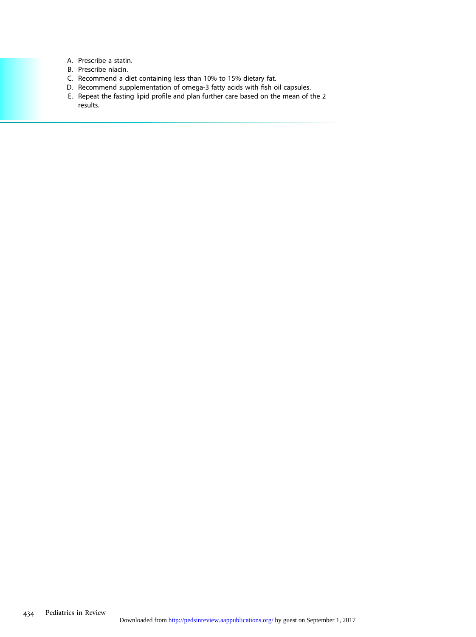- A. Prescribe a statin.
- B. Prescribe niacin.
- C. Recommend a diet containing less than 10% to 15% dietary fat.
- D. Recommend supplementation of omega-3 fatty acids with fish oil capsules.
- E. Repeat the fasting lipid profile and plan further care based on the mean of the 2 results.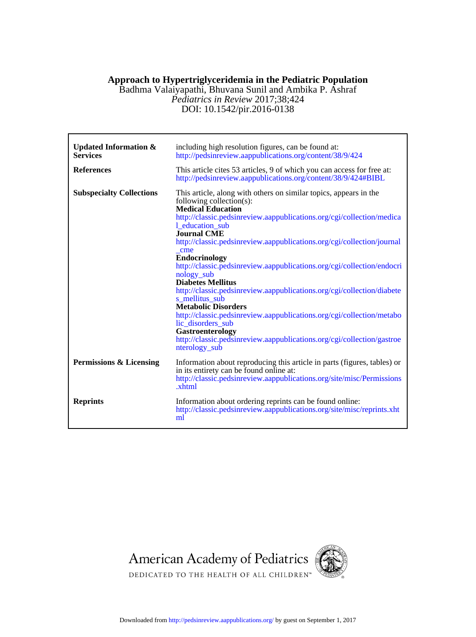## **Approach to Hypertriglyceridemia in the Pediatric Population**

DOI: 10.1542/pir.2016-0138 *Pediatrics in Review* 2017;38;424 Badhma Valaiyapathi, Bhuvana Sunil and Ambika P. Ashraf

| <b>Updated Information &amp;</b><br><b>Services</b> | including high resolution figures, can be found at:<br>http://pedsinreview.aappublications.org/content/38/9/424                                                                                                                                                                                                                                                                                                                                                                                                                                                                                                                                                                                                                                                                                                 |
|-----------------------------------------------------|-----------------------------------------------------------------------------------------------------------------------------------------------------------------------------------------------------------------------------------------------------------------------------------------------------------------------------------------------------------------------------------------------------------------------------------------------------------------------------------------------------------------------------------------------------------------------------------------------------------------------------------------------------------------------------------------------------------------------------------------------------------------------------------------------------------------|
| <b>References</b>                                   | This article cites 53 articles, 9 of which you can access for free at:<br>http://pedsinreview.aappublications.org/content/38/9/424#BIBL                                                                                                                                                                                                                                                                                                                                                                                                                                                                                                                                                                                                                                                                         |
| <b>Subspecialty Collections</b>                     | This article, along with others on similar topics, appears in the<br>following collection(s):<br><b>Medical Education</b><br>http://classic.pedsinreview.aappublications.org/cgi/collection/medica<br>1 education sub<br><b>Journal CME</b><br>http://classic.pedsinreview.aappublications.org/cgi/collection/journal<br>cme<br><b>Endocrinology</b><br>http://classic.pedsinreview.aappublications.org/cgi/collection/endocri<br>nology_sub<br><b>Diabetes Mellitus</b><br>http://classic.pedsinreview.aappublications.org/cgi/collection/diabete<br>s mellitus sub<br><b>Metabolic Disorders</b><br>http://classic.pedsinreview.aappublications.org/cgi/collection/metabo<br>lic_disorders_sub<br>Gastroenterology<br>http://classic.pedsinreview.aappublications.org/cgi/collection/gastroe<br>nterology_sub |
| Permissions & Licensing                             | Information about reproducing this article in parts (figures, tables) or<br>in its entirety can be found online at:<br>http://classic.pedsinreview.aappublications.org/site/misc/Permissions<br>.xhtml                                                                                                                                                                                                                                                                                                                                                                                                                                                                                                                                                                                                          |
| <b>Reprints</b>                                     | Information about ordering reprints can be found online:<br>http://classic.pedsinreview.aappublications.org/site/misc/reprints.xht<br>ml                                                                                                                                                                                                                                                                                                                                                                                                                                                                                                                                                                                                                                                                        |